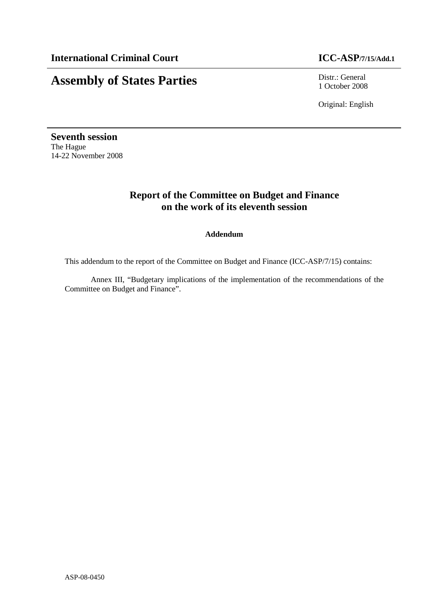### **Assembly of States Parties** Distr.: General

1 October 2008

Original: English

**Seventh session**  The Hague 14-22 November 2008

### **Report of the Committee on Budget and Finance on the work of its eleventh session**

### **Addendum**

This addendum to the report of the Committee on Budget and Finance (ICC-ASP/7/15) contains:

Annex III, "Budgetary implications of the implementation of the recommendations of the Committee on Budget and Finance".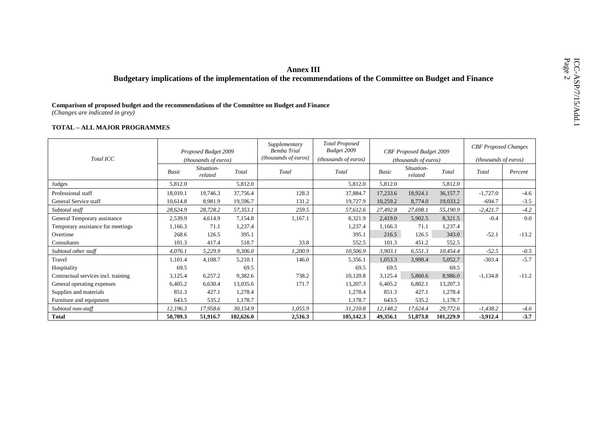# **EXECUTE:**<br>Budgetary implications of the implementation of the recommendations of the Committee on Budget and Finance<br>Comparison of proposed budget and the recommendations of the Committee on Budget and Finance<br>Changes are

|                                     |          | Proposed Budget 2009        |           | Supplementary<br><b>Bemba Trial</b> | <b>Total Proposed</b><br>Budget 2009 |          | CBF Proposed Budget 2009    |           | <b>CBF</b> Proposed Changes |         |
|-------------------------------------|----------|-----------------------------|-----------|-------------------------------------|--------------------------------------|----------|-----------------------------|-----------|-----------------------------|---------|
| Total ICC                           |          | <i>(thousands of euros)</i> |           | (thousands of euros)                | (thousands of euros)                 |          | <i>(thousands of euros)</i> |           | <i>(thousands of euros)</i> |         |
|                                     | Basic    | Situation-<br>related       | Total     | Total                               | Total                                | Basic    | Situation-<br>related       | Total     | Total                       | Percent |
| Judges                              | 5,812.0  |                             | 5,812.0   |                                     | 5,812.0                              | 5,812.0  |                             | 5,812.0   |                             |         |
| Professional staff                  | 18,010.1 | 19,746.3                    | 37,756.4  | 128.3                               | 37,884.7                             | 17,233.6 | 18,924.1                    | 36,157.7  | $-1,727.0$                  | $-4.6$  |
| General Service staff               | 10,614.8 | 8,981.9                     | 19,596.7  | 131.2                               | 19,727.9                             | 10,259.2 | 8,774.0                     | 19,033.2  | $-694.7$                    | $-3.5$  |
| Subtotal staff                      | 28,624.9 | 28,728.2                    | 57,353.1  | 259.5                               | 57,612.6                             | 27,492.8 | 27,698.1                    | 55,190.9  | $-2,421.7$                  | $-4.2$  |
| General Temporary assistance        | 2,539.9  | 4,614.9                     | 7,154.8   | 1,167.1                             | 8,321.9                              | 2,419.0  | 5,902.5                     | 8,321.5   | $-0.4$                      | 0.0     |
| Temporary assistance for meetings   | 1,166.3  | 71.1                        | 1,237.4   |                                     | 1,237.4                              | 1,166.3  | 71.1                        | 1,237.4   |                             |         |
| Overtime                            | 268.6    | 126.5                       | 395.1     |                                     | 395.1                                | 216.5    | 126.5                       | 343.0     | $-52.1$                     | $-13.2$ |
| Consultants                         | 101.3    | 417.4                       | 518.7     | 33.8                                | 552.5                                | 101.3    | 451.2                       | 552.5     |                             |         |
| Subtotal other staff                | 4,076.1  | 5,229.9                     | 9,306.0   | 1,200.9                             | 10,506.9                             | 3,903.1  | 6,551.3                     | 10,454.4  | $-52.5$                     | $-0.5$  |
| Travel                              | 1,101.4  | 4,108.7                     | 5,210.1   | 146.0                               | 5,356.1                              | 1,053.3  | 3,999.4                     | 5,052.7   | $-303.4$                    | $-5.7$  |
| Hospitality                         | 69.5     |                             | 69.5      |                                     | 69.5                                 | 69.5     |                             | 69.5      |                             |         |
| Contractual services incl. training | 3,125.4  | 6,257.2                     | 9,382.6   | 738.2                               | 10,120.8                             | 3,125.4  | 5,860.6                     | 8,986.0   | $-1,134.8$                  | $-11.2$ |
| General operating expenses          | 6,405.2  | 6,630.4                     | 13,035.6  | 171.7                               | 13,207.3                             | 6,405.2  | 6,802.1                     | 13,207.3  |                             |         |
| Supplies and materials              | 851.3    | 427.1                       | 1,278.4   |                                     | 1,278.4                              | 851.3    | 427.1                       | 1,278.4   |                             |         |
| Furniture and equipment             | 643.5    | 535.2                       | 1,178.7   |                                     | 1,178.7                              | 643.5    | 535.2                       | 1,178.7   |                             |         |
| Subtotal non-staff                  | 12,196.3 | 17,958.6                    | 30,154.9  | 1,055.9                             | 31,210.8                             | 12,148.2 | 17,624.4                    | 29,772.6  | $-1,438.2$                  | $-4.6$  |
| <b>Total</b>                        | 50,709.3 | 51,916.7                    | 102,626.0 | 2,516.3                             | 105,142.3                            | 49,356.1 | 51,873.8                    | 101,229.9 | $-3,912.4$                  | $-3.7$  |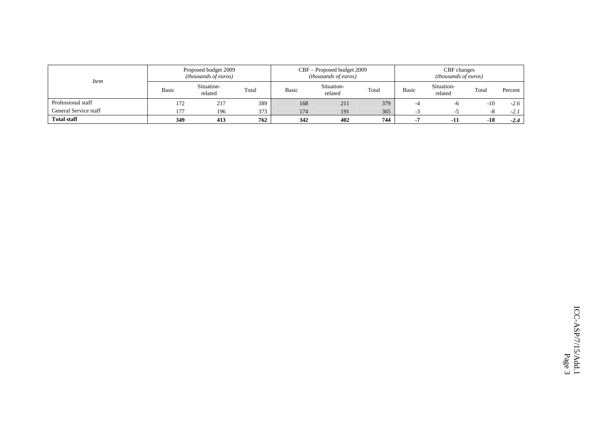| Item                  |              | Proposed budget 2009<br><i>(thousands of euros)</i> |       |       | CBF – Proposed budget 2009<br><i>(thousands of euros)</i> |       | CBF changes<br><i>(thousands of euros)</i> |                       |       |         |  |  |
|-----------------------|--------------|-----------------------------------------------------|-------|-------|-----------------------------------------------------------|-------|--------------------------------------------|-----------------------|-------|---------|--|--|
|                       | <b>Basic</b> | Situation-<br>related                               | Total | Basic | Situation-<br>related                                     | Total | <b>Basic</b>                               | Situation-<br>related | Total | Percent |  |  |
| Professional staff    | 172          | 217                                                 | 389   | 168   | 211                                                       | 379   | -4                                         | -0                    | $-10$ | $-2.6$  |  |  |
| General Service staff | 177          | 196                                                 | 373   | 174   | 191                                                       | 365   | - 1                                        |                       | -8    | $-2.1$  |  |  |
| <b>Total staff</b>    | 349          | 413                                                 | 762   | 342   | 402                                                       | 744   |                                            | -11                   | $-18$ | $-2.4$  |  |  |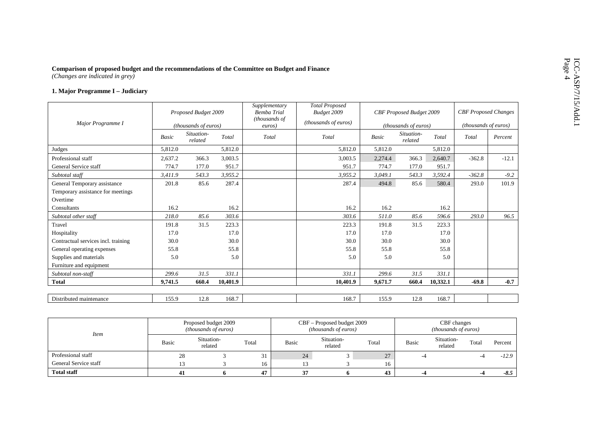# Comparison of proposed budget and the recommendations of the Committee on Budget and Finance<br>
(Changes are indicated in grey)<br>
1. Major Programme I – Judiciary

|                                     |         | Proposed Budget 2009  |          | Supplementary<br><b>Bemba Trial</b><br>(thousands of | <b>Total Proposed</b><br>Budget 2009 |              | CBF Proposed Budget 2009 |          | <b>CBF</b> Proposed Changes   |         |
|-------------------------------------|---------|-----------------------|----------|------------------------------------------------------|--------------------------------------|--------------|--------------------------|----------|-------------------------------|---------|
| Major Programme I                   |         | (thousands of euros)  |          | euros)                                               | (thousands of euros)                 |              | (thousands of euros)     |          | ( <i>thousands of euros</i> ) |         |
|                                     | Basic   | Situation-<br>related | Total    | Total                                                | Total                                | <b>Basic</b> | Situation-<br>related    | Total    | Total                         | Percent |
| Judges                              | 5,812.0 |                       | 5,812.0  |                                                      | 5.812.0                              | 5,812.0      |                          | 5.812.0  |                               |         |
| Professional staff                  | 2,637.2 | 366.3                 | 3,003.5  |                                                      | 3,003.5                              | 2,274.4      | 366.3                    | 2,640.7  | $-362.8$                      | $-12.1$ |
| General Service staff               | 774.7   | 177.0                 | 951.7    |                                                      | 951.7                                | 774.7        | 177.0                    | 951.7    |                               |         |
| Subtotal staff                      | 3.411.9 | 543.3                 | 3,955.2  |                                                      | 3.955.2                              | 3.049.1      | 543.3                    | 3.592.4  | $-362.8$                      | $-9.2$  |
| General Temporary assistance        | 201.8   | 85.6                  | 287.4    |                                                      | 287.4                                | 494.8        | 85.6                     | 580.4    | 293.0                         | 101.9   |
| Temporary assistance for meetings   |         |                       |          |                                                      |                                      |              |                          |          |                               |         |
| Overtime                            |         |                       |          |                                                      |                                      |              |                          |          |                               |         |
| Consultants                         | 16.2    |                       | 16.2     |                                                      | 16.2                                 | 16.2         |                          | 16.2     |                               |         |
| Subtotal other staff                | 218.0   | 85.6                  | 303.6    |                                                      | 303.6                                | 511.0        | 85.6                     | 596.6    | 293.0                         | 96.5    |
| Travel                              | 191.8   | 31.5                  | 223.3    |                                                      | 223.3                                | 191.8        | 31.5                     | 223.3    |                               |         |
| Hospitality                         | 17.0    |                       | 17.0     |                                                      | 17.0                                 | 17.0         |                          | 17.0     |                               |         |
| Contractual services incl. training | 30.0    |                       | 30.0     |                                                      | 30.0                                 | 30.0         |                          | 30.0     |                               |         |
| General operating expenses          | 55.8    |                       | 55.8     |                                                      | 55.8                                 | 55.8         |                          | 55.8     |                               |         |
| Supplies and materials              | 5.0     |                       | 5.0      |                                                      | 5.0                                  | 5.0          |                          | 5.0      |                               |         |
| Furniture and equipment             |         |                       |          |                                                      |                                      |              |                          |          |                               |         |
| Subtotal non-staff                  | 299.6   | 31.5                  | 331.1    |                                                      | 331.1                                | 299.6        | 31.5                     | 331.1    |                               |         |
| <b>Total</b>                        | 9,741.5 | 660.4                 | 10,401.9 |                                                      | 10,401.9                             | 9,671.7      | 660.4                    | 10,332.1 | $-69.8$                       | $-0.7$  |
|                                     |         |                       |          |                                                      |                                      |              |                          |          |                               |         |
| Distributed maintenance             | 155.9   | 12.8                  | 168.7    |                                                      | 168.7                                | 155.9        | 12.8                     | 168.7    |                               |         |

| Item                  |              | Proposed budget 2009<br><i>(thousands of euros)</i> |       |              | CBF – Proposed budget 2009<br><i>(thousands of euros)</i> |       |       | CBF changes<br><i>(thousands of euros)</i> |       |         |
|-----------------------|--------------|-----------------------------------------------------|-------|--------------|-----------------------------------------------------------|-------|-------|--------------------------------------------|-------|---------|
|                       | <b>Basic</b> | Situation-<br>related                               | Total | <b>Basic</b> | Situation-<br>related                                     | Total | Basic | Situation-<br>related                      | Total | Percent |
| Professional staff    | 28           |                                                     | 31    | 24           |                                                           | 27    |       |                                            |       | $-12.9$ |
| General Service staff |              |                                                     | 16    |              |                                                           | 16    |       |                                            |       |         |
| <b>Total staff</b>    |              |                                                     | 47    |              |                                                           | 43    |       |                                            |       | $-8.5$  |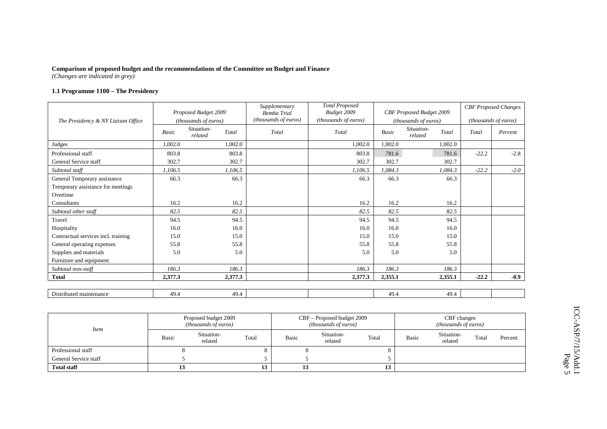#### **1.1 Programme 1100 – The Presidency**

|                                     |         | Proposed Budget 2009  |         | Supplementary<br><b>Bemba Trial</b> | <b>Total Proposed</b><br>Budget 2009 |         | CBF Proposed Budget 2009       |         | <b>CBF</b> Proposed Changes |
|-------------------------------------|---------|-----------------------|---------|-------------------------------------|--------------------------------------|---------|--------------------------------|---------|-----------------------------|
| The Presidency & NY Liaison Office  |         | (thousands of euros)  |         | (thousands of euros)                | (thousands of euros)                 |         | (thousands of euros)           |         | (thousands of euros)        |
|                                     | Basic   | Situation-<br>related | Total   | Total                               | Total                                | Basic   | Situation-<br>Total<br>related | Total   | Percent                     |
| Judges                              | 1,002.0 |                       | 1,002.0 |                                     | 1,002.0                              | 1,002.0 | 1,002.0                        |         |                             |
| Professional staff                  | 803.8   |                       | 803.8   |                                     | 803.8                                | 781.6   | 781.6                          | $-22.2$ | $-2.8$                      |
| General Service staff               | 302.7   |                       | 302.7   |                                     | 302.7                                | 302.7   | 302.7                          |         |                             |
| Subtotal staff                      | 1,106.5 |                       | 1,106.5 |                                     | 1,106.5                              | 1,084.3 | 1,084.3                        | $-22.2$ | $-2.0$                      |
| General Temporary assistance        | 66.3    |                       | 66.3    |                                     | 66.3                                 | 66.3    | 66.3                           |         |                             |
| Temporary assistance for meetings   |         |                       |         |                                     |                                      |         |                                |         |                             |
| Overtime                            |         |                       |         |                                     |                                      |         |                                |         |                             |
| Consultants                         | 16.2    |                       | 16.2    |                                     | 16.2                                 | 16.2    | 16.2                           |         |                             |
| Subtotal other staff                | 82.5    |                       | 82.5    |                                     | 82.5                                 | 82.5    | 82.5                           |         |                             |
| Travel                              | 94.5    |                       | 94.5    |                                     | 94.5                                 | 94.5    | 94.5                           |         |                             |
| Hospitality                         | 16.0    |                       | 16.0    |                                     | 16.0                                 | 16.0    | 16.0                           |         |                             |
| Contractual services incl. training | 15.0    |                       | 15.0    |                                     | 15.0                                 | 15.0    | 15.0                           |         |                             |
| General operating expenses          | 55.8    |                       | 55.8    |                                     | 55.8                                 | 55.8    | 55.8                           |         |                             |
| Supplies and materials              | 5.0     |                       | 5.0     |                                     | 5.0                                  | 5.0     | 5.0                            |         |                             |
| Furniture and equipment             |         |                       |         |                                     |                                      |         |                                |         |                             |
| Subtotal non-staff                  | 186.3   |                       | 186.3   |                                     | 186.3                                | 186.3   | 186.3                          |         |                             |
| <b>Total</b>                        | 2,377.3 |                       | 2,377.3 |                                     | 2,377.3                              | 2,355.1 | 2,355.1                        | $-22.2$ | $-0.9$                      |
|                                     |         |                       |         |                                     |                                      |         |                                |         |                             |
| Distributed maintenance             | 49.4    |                       | 49.4    |                                     |                                      | 49.4    | 49.4                           |         |                             |

| <i>Item</i>           |              | Proposed budget 2009<br><i>(thousands of euros)</i> |       |       | CBF – Proposed budget 2009<br><i>(thousands of euros)</i> |       | CBF changes<br><i>(thousands of euros)</i> |                       |       |         |  |
|-----------------------|--------------|-----------------------------------------------------|-------|-------|-----------------------------------------------------------|-------|--------------------------------------------|-----------------------|-------|---------|--|
|                       | <b>Basic</b> | Situation-<br>related                               | Total | Basic | Situation-<br>related                                     | Total | <b>Basic</b>                               | Situation-<br>related | Total | Percent |  |
| Professional staff    |              |                                                     |       |       |                                                           |       |                                            |                       |       |         |  |
| General Service staff |              |                                                     |       |       |                                                           |       |                                            |                       |       |         |  |
| <b>Total staff</b>    |              |                                                     | 19.   | 13    |                                                           | 13    |                                            |                       |       |         |  |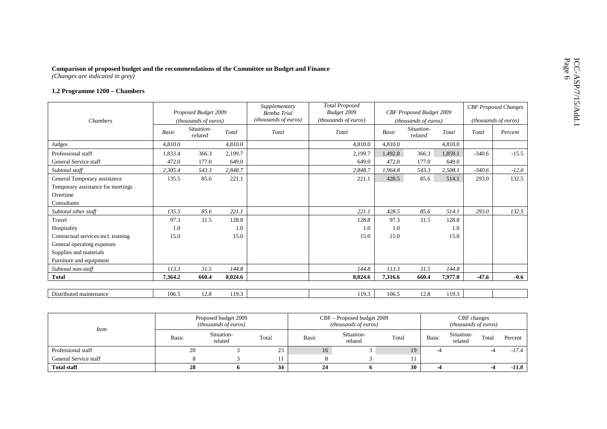# Comparison of proposed budget and the recommendations of the Committee on Budget and Finance<br>(Changes are indicated in grey)<br>1.2 Programme 1200 – Chambers

|                                     |         | Proposed Budget 2009  |         | Supplementary<br><b>Bemba Trial</b> | <b>Total Proposed</b><br>Budget 2009 |         | CBF Proposed Budget 2009 |         |          | <b>CBF</b> Proposed Changes |
|-------------------------------------|---------|-----------------------|---------|-------------------------------------|--------------------------------------|---------|--------------------------|---------|----------|-----------------------------|
| <b>Chambers</b>                     |         | (thousands of euros)  |         | (thousands of euros)                | (thousands of euros)                 |         | (thousands of euros)     |         |          | <i>(thousands of euros)</i> |
|                                     | Basic   | Situation-<br>related | Total   | Total                               | Total                                | Basic   | Situation-<br>related    | Total   | Total    | Percent                     |
| Judges                              | 4,810.0 |                       | 4,810.0 |                                     | 4,810.0                              | 4,810.0 |                          | 4,810.0 |          |                             |
| Professional staff                  | 1,833.4 | 366.3                 | 2,199.7 |                                     | 2,199.7                              | 1,492.8 | 366.3                    | 1,859.1 | $-340.6$ | $-15.5$                     |
| General Service staff               | 472.0   | 177.0                 | 649.0   |                                     | 649.0                                | 472.0   | 177.0                    | 649.0   |          |                             |
| Subtotal staff                      | 2,305.4 | 543.3                 | 2,848.7 |                                     | 2,848.7                              | 1,964.8 | 543.3                    | 2,508.1 | $-340.6$ | $-12.0$                     |
| General Temporary assistance        | 135.5   | 85.6                  | 221.1   |                                     | 221.1                                | 428.5   | 85.6                     | 514.1   | 293.0    | 132.5                       |
| Temporary assistance for meetings   |         |                       |         |                                     |                                      |         |                          |         |          |                             |
| Overtime                            |         |                       |         |                                     |                                      |         |                          |         |          |                             |
| Consultants                         |         |                       |         |                                     |                                      |         |                          |         |          |                             |
| Subtotal other staff                | 135.5   | 85.6                  | 221.1   |                                     | 221.1                                | 428.5   | 85.6                     | 514.1   | 293.0    | 132.5                       |
| Travel                              | 97.3    | 31.5                  | 128.8   |                                     | 128.8                                | 97.3    | 31.5                     | 128.8   |          |                             |
| Hospitality                         | 1.0     |                       | 1.0     |                                     | 1.0                                  | 1.0     |                          | 1.0     |          |                             |
| Contractual services incl. training | 15.0    |                       | 15.0    |                                     | 15.0                                 | 15.0    |                          | 15.0    |          |                             |
| General operating expenses          |         |                       |         |                                     |                                      |         |                          |         |          |                             |
| Supplies and materials              |         |                       |         |                                     |                                      |         |                          |         |          |                             |
| Furniture and equipment             |         |                       |         |                                     |                                      |         |                          |         |          |                             |
| Subtotal non-staff                  | 113.3   | 31.5                  | 144.8   |                                     | 144.8                                | 113.3   | 31.5                     | 144.8   |          |                             |
| <b>Total</b>                        | 7,364.2 | 660.4                 | 8,024.6 |                                     | 8,024.6                              | 7,316.6 | 660.4                    | 7,977.0 | $-47.6$  | $-0.6$                      |
|                                     |         |                       |         |                                     |                                      |         |                          |         |          |                             |
| Distributed maintenance             | 106.5   | 12.8                  | 119.3   |                                     | 119.3                                | 106.5   | 12.8                     | 119.3   |          |                             |

| <i>Item</i>           |       | Proposed budget 2009<br><i>(thousands of euros)</i> |       |       | CBF – Proposed budget 2009<br><i>(thousands of euros)</i> |       | CBF changes<br><i>(thousands of euros)</i> |                       |       |         |  |
|-----------------------|-------|-----------------------------------------------------|-------|-------|-----------------------------------------------------------|-------|--------------------------------------------|-----------------------|-------|---------|--|
|                       | Basic | Situation-<br>related                               | Total | Basic | Situation-<br>related                                     | Total | Basic                                      | Situation-<br>related | Total | Percent |  |
| Professional staff    | 20    |                                                     | 23    | 16    |                                                           | 19    |                                            |                       |       | -17.4   |  |
| General Service staff |       |                                                     |       |       |                                                           |       |                                            |                       |       |         |  |
| <b>Total staff</b>    | 28    | 34                                                  |       | 24    |                                                           | 30    |                                            |                       |       | -11.8   |  |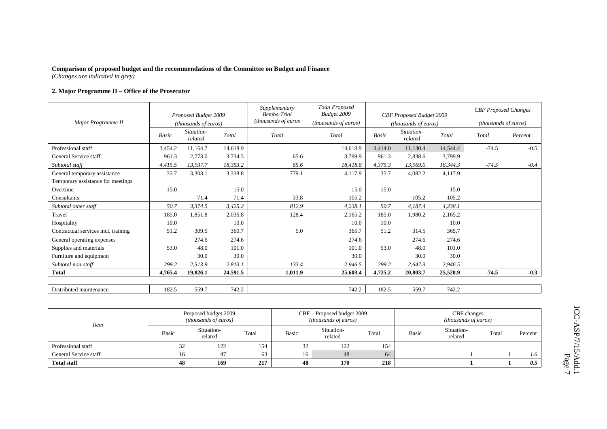#### **2. Major Programme II – Office of the Prosecutor**

| Major Programme II                  | Proposed Budget 2009<br>(thousands of euros) |                       |          | Supplementary<br><b>Bemba Trial</b><br>(thousands of euros | <b>Total Proposed</b><br>Budget 2009<br>(thousands of euros) | CBF Proposed Budget 2009<br>(thousands of euros) |                       |          |         | <b>CBF</b> Proposed Changes<br>(thousands of euros) |  |
|-------------------------------------|----------------------------------------------|-----------------------|----------|------------------------------------------------------------|--------------------------------------------------------------|--------------------------------------------------|-----------------------|----------|---------|-----------------------------------------------------|--|
|                                     | Basic                                        | Situation-<br>related | Total    | Total                                                      | Total                                                        | Basic                                            | Situation-<br>related | Total    | Total   | Percent                                             |  |
| Professional staff                  | 3,454.2                                      | 11,164.7              | 14,618.9 |                                                            | 14,618.9                                                     | 3,414.0                                          | 11,130.4              | 14,544.4 | $-74.5$ | $-0.5$                                              |  |
| General Service staff               | 961.3                                        | 2,773.0               | 3,734.3  | 65.6                                                       | 3,799.9                                                      | 961.3                                            | 2,838.6               | 3,799.9  |         |                                                     |  |
| Subtotal staff                      | 4,415.5                                      | 13,937.7              | 18,353.2 | 65.6                                                       | 18,418.8                                                     | 4,375.3                                          | 13,969.0              | 18,344.3 | $-74.5$ | $-0.4$                                              |  |
| General temporary assistance        | 35.7                                         | 3,303.1               | 3,338.8  | 779.1                                                      | 4,117.9                                                      | 35.7                                             | 4,082.2               | 4,117.9  |         |                                                     |  |
| Temporary assistance for meetings   |                                              |                       |          |                                                            |                                                              |                                                  |                       |          |         |                                                     |  |
| Overtime                            | 15.0                                         |                       | 15.0     |                                                            | 15.0                                                         | 15.0                                             |                       | 15.0     |         |                                                     |  |
| Consultants                         |                                              | 71.4                  | 71.4     | 33.8                                                       | 105.2                                                        |                                                  | 105.2                 | 105.2    |         |                                                     |  |
| Subtotal other staff                | 50.7                                         | 3,374.5               | 3,425.2  | 812.9                                                      | 4,238.1                                                      | 50.7                                             | 4,187.4               | 4,238.1  |         |                                                     |  |
| Travel                              | 185.0                                        | 1,851.8               | 2,036.8  | 128.4                                                      | 2,165.2                                                      | 185.0                                            | 1,980.2               | 2,165.2  |         |                                                     |  |
| Hospitality                         | 10.0                                         |                       | 10.0     |                                                            | 10.0                                                         | 10.0                                             |                       | 10.0     |         |                                                     |  |
| Contractual services incl. training | 51.2                                         | 309.5                 | 360.7    | 5.0                                                        | 365.7                                                        | 51.2                                             | 314.5                 | 365.7    |         |                                                     |  |
| General operating expenses          |                                              | 274.6                 | 274.6    |                                                            | 274.6                                                        |                                                  | 274.6                 | 274.6    |         |                                                     |  |
| Supplies and materials              | 53.0                                         | 48.0                  | 101.0    |                                                            | 101.0                                                        | 53.0                                             | 48.0                  | 101.0    |         |                                                     |  |
| Furniture and equipment             |                                              | 30.0                  | 30.0     |                                                            | 30.0                                                         |                                                  | 30.0                  | 30.0     |         |                                                     |  |
| Subtotal non-staff                  | 299.2                                        | 2,513.9               | 2.813.1  | 133.4                                                      | 2,946.5                                                      | 299.2                                            | 2,647.3               | 2,946.5  |         |                                                     |  |
| <b>Total</b>                        | 4,765.4                                      | 19,826.1              | 24,591.5 | 1,011.9                                                    | 25,603.4                                                     | 4,725.2                                          | 20,803.7              | 25,528.9 | $-74.5$ | $-0.3$                                              |  |
|                                     |                                              |                       |          |                                                            |                                                              |                                                  |                       |          |         |                                                     |  |
| Distributed maintenance             | 182.5                                        | 559.7                 | 742.2    |                                                            | 742.2                                                        | 182.5                                            | 559.7                 | 742.2    |         |                                                     |  |

| <b>Item</b>           |       | Proposed budget 2009<br><i>(thousands of euros)</i> |       |              | CBF – Proposed budget 2009<br><i>(thousands of euros)</i> |       |       | CBF changes<br><i>(thousands of euros)</i> |       |         |
|-----------------------|-------|-----------------------------------------------------|-------|--------------|-----------------------------------------------------------|-------|-------|--------------------------------------------|-------|---------|
|                       | Basic | Situation-<br>related                               | Total | <b>Basic</b> | Situation-<br>related                                     | Total | Basic | Situation-<br>related                      | Total | Percent |
| Professional staff    | 32    | 122                                                 | 154   | ے ر          | 122                                                       | 154   |       |                                            |       |         |
| General Service staff | 16    | 47                                                  | 63    | 16           | 48                                                        | 64    |       |                                            |       | 1.6     |
| <b>Total staff</b>    | 48    | 169                                                 | 217   | 48           | 170                                                       | 218   |       |                                            |       | 0.5     |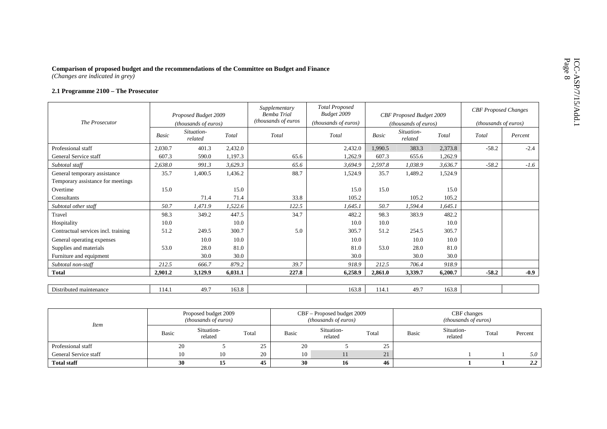# Comparison of proposed budget and the recommendations of the Committee on Budget and Finance<br>(*Changes are indicated in grey*)<br>2.1 Programme 2100 – The Prosecutor

|                                     |         | Proposed Budget 2009  |         | Supplementary<br><b>Bemba Trial</b> | <b>Total Proposed</b><br>Budget 2009 |              | CBF Proposed Budget 2009 |         | <b>CBF</b> Proposed Changes |         |
|-------------------------------------|---------|-----------------------|---------|-------------------------------------|--------------------------------------|--------------|--------------------------|---------|-----------------------------|---------|
| The Prosecutor                      |         | (thousands of euros)  |         | (thousands of euros                 | (thousands of euros)                 |              | (thousands of euros)     |         | <i>(thousands of euros)</i> |         |
|                                     | Basic   | Situation-<br>related | Total   | Total                               | Total                                | <b>Basic</b> | Situation-<br>related    | Total   | Total                       | Percent |
| Professional staff                  | 2,030.7 | 401.3                 | 2,432.0 |                                     | 2,432.0                              | 1,990.5      | 383.3                    | 2,373.8 | $-58.2$                     | $-2.4$  |
| General Service staff               | 607.3   | 590.0                 | 1,197.3 | 65.6                                | 1,262.9                              | 607.3        | 655.6                    | 1,262.9 |                             |         |
| Subtotal staff                      | 2.638.0 | 991.3                 | 3,629.3 | 65.6                                | 3,694.9                              | 2,597.8      | 1,038.9                  | 3,636.7 | $-58.2$                     | $-1.6$  |
| General temporary assistance        | 35.7    | 1,400.5               | 1,436.2 | 88.7                                | 1,524.9                              | 35.7         | 1,489.2                  | 1,524.9 |                             |         |
| Temporary assistance for meetings   |         |                       |         |                                     |                                      |              |                          |         |                             |         |
| Overtime                            | 15.0    |                       | 15.0    |                                     | 15.0                                 | 15.0         |                          | 15.0    |                             |         |
| Consultants                         |         | 71.4                  | 71.4    | 33.8                                | 105.2                                |              | 105.2                    | 105.2   |                             |         |
| Subtotal other staff                | 50.7    | 1,471.9               | 1,522.6 | 122.5                               | 1,645.1                              | 50.7         | 1,594.4                  | 1,645.1 |                             |         |
| Travel                              | 98.3    | 349.2                 | 447.5   | 34.7                                | 482.2                                | 98.3         | 383.9                    | 482.2   |                             |         |
| Hospitality                         | 10.0    |                       | 10.0    |                                     | 10.0                                 | 10.0         |                          | 10.0    |                             |         |
| Contractual services incl. training | 51.2    | 249.5                 | 300.7   | 5.0                                 | 305.7                                | 51.2         | 254.5                    | 305.7   |                             |         |
| General operating expenses          |         | 10.0                  | 10.0    |                                     | 10.0                                 |              | 10.0                     | 10.0    |                             |         |
| Supplies and materials              | 53.0    | 28.0                  | 81.0    |                                     | 81.0                                 | 53.0         | 28.0                     | 81.0    |                             |         |
| Furniture and equipment             |         | 30.0                  | 30.0    |                                     | 30.0                                 |              | 30.0                     | 30.0    |                             |         |
| Subtotal non-staff                  | 212.5   | 666.7                 | 879.2   | 39.7                                | 918.9                                | 212.5        | 706.4                    | 918.9   |                             |         |
| <b>Total</b>                        | 2,901.2 | 3.129.9               | 6,031.1 | 227.8                               | 6,258.9                              | 2,861.0      | 3,339.7                  | 6,200.7 | $-58.2$                     | $-0.9$  |
|                                     |         |                       |         |                                     |                                      |              |                          |         |                             |         |
| Distributed maintenance             | 114.1   | 49.7                  | 163.8   |                                     | 163.8                                | 114.1        | 49.7                     | 163.8   |                             |         |

| <i>Item</i>           |       | Proposed budget 2009<br><i>(thousands of euros)</i> |          |              | CBF – Proposed budget 2009<br><i>(thousands of euros)</i> |       | CBF changes<br><i>(thousands of euros)</i> |                       |       |         |  |
|-----------------------|-------|-----------------------------------------------------|----------|--------------|-----------------------------------------------------------|-------|--------------------------------------------|-----------------------|-------|---------|--|
|                       | Basic | Situation-<br>related                               | Total    | <b>Basic</b> | Situation-<br>related                                     | Total | Basic                                      | Situation-<br>related | Total | Percent |  |
| Professional staff    | 20    |                                                     | つち<br>دے | 20           |                                                           | ر ے   |                                            |                       |       |         |  |
| General Service staff | 10    | 10                                                  | 20       | 10           |                                                           | 21    |                                            |                       |       | 5.0     |  |
| <b>Total staff</b>    | 30    | 15                                                  | 45       | 30           | 16                                                        | 46    |                                            |                       |       | 2.2     |  |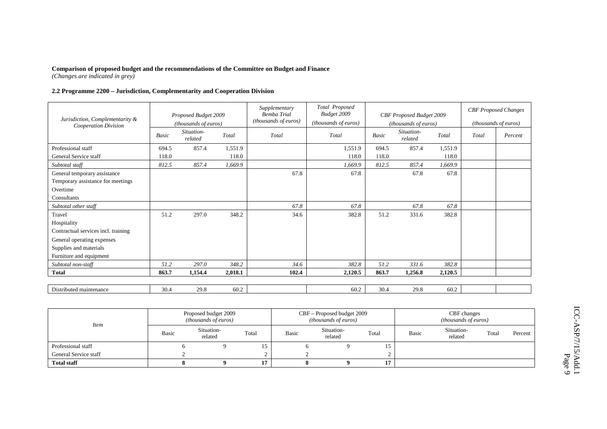#### **2.2 Programme 2200 – Jurisdiction, Complementarity and Cooperation Division**

| Jurisdiction, Complementarity &<br>Cooperation Division |       | Proposed Budget 2009<br>(thousands of euros) |         | Supplementary<br><b>Bemba Trial</b><br>(thousands of euros) | Total Proposed<br>Budget 2009<br>(thousands of euros) |       | CBF Proposed Budget 2009<br>(thousands of euros) |         |       | <b>CBF</b> Proposed Changes<br>(thousands of euros) |
|---------------------------------------------------------|-------|----------------------------------------------|---------|-------------------------------------------------------------|-------------------------------------------------------|-------|--------------------------------------------------|---------|-------|-----------------------------------------------------|
|                                                         | Basic | Situation-<br>related                        | Total   | Total                                                       | Total                                                 | Basic | Situation-<br>related                            | Total   | Total | Percent                                             |
| Professional staff                                      | 694.5 | 857.4                                        | 1,551.9 |                                                             | 1,551.9                                               | 694.5 | 857.4                                            | 1,551.9 |       |                                                     |
| General Service staff                                   | 118.0 |                                              | 118.0   |                                                             | 118.0                                                 | 118.0 |                                                  | 118.0   |       |                                                     |
| Subtotal staff                                          | 812.5 | 857.4                                        | 1,669.9 |                                                             | 1,669.9                                               | 812.5 | 857.4                                            | 1,669.9 |       |                                                     |
| General temporary assistance                            |       |                                              |         | 67.8                                                        | 67.8                                                  |       | 67.8                                             | 67.8    |       |                                                     |
| Temporary assistance for meetings                       |       |                                              |         |                                                             |                                                       |       |                                                  |         |       |                                                     |
| Overtime                                                |       |                                              |         |                                                             |                                                       |       |                                                  |         |       |                                                     |
| Consultants                                             |       |                                              |         |                                                             |                                                       |       |                                                  |         |       |                                                     |
| Subtotal other staff                                    |       |                                              |         | 67.8                                                        | 67.8                                                  |       | 67.8                                             | 67.8    |       |                                                     |
| Travel                                                  | 51.2  | 297.0                                        | 348.2   | 34.6                                                        | 382.8                                                 | 51.2  | 331.6                                            | 382.8   |       |                                                     |
| Hospitality                                             |       |                                              |         |                                                             |                                                       |       |                                                  |         |       |                                                     |
| Contractual services incl. training                     |       |                                              |         |                                                             |                                                       |       |                                                  |         |       |                                                     |
| General operating expenses                              |       |                                              |         |                                                             |                                                       |       |                                                  |         |       |                                                     |
| Supplies and materials                                  |       |                                              |         |                                                             |                                                       |       |                                                  |         |       |                                                     |
| Furniture and equipment                                 |       |                                              |         |                                                             |                                                       |       |                                                  |         |       |                                                     |
| Subtotal non-staff                                      | 51.2  | 297.0                                        | 348.2   | 34.6                                                        | 382.8                                                 | 51.2  | 331.6                                            | 382.8   |       |                                                     |
| <b>Total</b>                                            | 863.7 | 1,154.4                                      | 2,018.1 | 102.4                                                       | 2,120.5                                               | 863.7 | 1,256.8                                          | 2,120.5 |       |                                                     |
|                                                         |       |                                              |         |                                                             |                                                       |       |                                                  |         |       |                                                     |
| Distributed maintenance                                 | 30.4  | 29.8                                         | 60.2    |                                                             | 60.2                                                  | 30.4  | 29.8                                             | 60.2    |       |                                                     |

| <i>Item</i>           |              | Proposed budget 2009<br><i>(thousands of euros)</i> |           |       | CBF - Proposed budget 2009<br>( <i>thousands of euros</i> ) |       | CBF changes<br>(thousands of euros) |                       |       |         |  |
|-----------------------|--------------|-----------------------------------------------------|-----------|-------|-------------------------------------------------------------|-------|-------------------------------------|-----------------------|-------|---------|--|
|                       | <b>Basic</b> | Situation-<br>related                               | Total     | Basic | Situation-<br>related                                       | Total | <b>Basic</b>                        | Situation-<br>related | Total | Percent |  |
| Professional staff    |              |                                                     |           |       |                                                             | 15    |                                     |                       |       |         |  |
| General Service staff |              |                                                     |           |       |                                                             |       |                                     |                       |       |         |  |
| <b>Total staff</b>    |              |                                                     | <b>15</b> |       |                                                             | 17    |                                     |                       |       |         |  |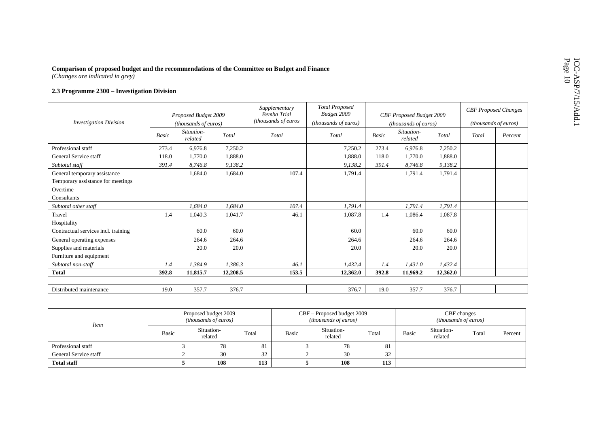# Comparison of proposed budget and the recommendations of the Committee on Budget and Finance<br>(*Changes are indicated in grey*)<br>2.3 Programme 2300 – Investigation Division

|                                     |       | Proposed Budget 2009          |          | Supplementary<br><b>Bemba Trial</b> | <b>Total Proposed</b><br>Budget 2009 |              | CBF Proposed Budget 2009      |          | <b>CBF</b> Proposed Changes |         |
|-------------------------------------|-------|-------------------------------|----------|-------------------------------------|--------------------------------------|--------------|-------------------------------|----------|-----------------------------|---------|
| <b>Investigation Division</b>       |       | ( <i>thousands of euros</i> ) |          | (thousands of euros                 | (thousands of euros)                 |              | ( <i>thousands of euros</i> ) |          | (thousands of euros)        |         |
|                                     | Basic | Situation-<br>related         | Total    | Total                               | Total                                | <b>Basic</b> | Situation-<br>related         | Total    | Total                       | Percent |
| Professional staff                  | 273.4 | 6,976.8                       | 7,250.2  |                                     | 7,250.2                              | 273.4        | 6,976.8                       | 7,250.2  |                             |         |
| General Service staff               | 118.0 | 1,770.0                       | 1,888.0  |                                     | 1,888.0                              | 118.0        | 1,770.0                       | 1,888.0  |                             |         |
| Subtotal staff                      | 391.4 | 8,746.8                       | 9,138.2  |                                     | 9,138.2                              | 391.4        | 8,746.8                       | 9,138.2  |                             |         |
| General temporary assistance        |       | 1,684.0                       | 1,684.0  | 107.4                               | 1,791.4                              |              | 1,791.4                       | 1,791.4  |                             |         |
| Temporary assistance for meetings   |       |                               |          |                                     |                                      |              |                               |          |                             |         |
| Overtime                            |       |                               |          |                                     |                                      |              |                               |          |                             |         |
| Consultants                         |       |                               |          |                                     |                                      |              |                               |          |                             |         |
| Subtotal other staff                |       | 1.684.0                       | 1.684.0  | 107.4                               | 1.791.4                              |              | 1,791.4                       | 1,791.4  |                             |         |
| Travel                              | 1.4   | 1,040.3                       | 1,041.7  | 46.1                                | 1,087.8                              | 1.4          | 1,086.4                       | 1,087.8  |                             |         |
| Hospitality                         |       |                               |          |                                     |                                      |              |                               |          |                             |         |
| Contractual services incl. training |       | 60.0                          | 60.0     |                                     | 60.0                                 |              | 60.0                          | 60.0     |                             |         |
| General operating expenses          |       | 264.6                         | 264.6    |                                     | 264.6                                |              | 264.6                         | 264.6    |                             |         |
| Supplies and materials              |       | 20.0                          | 20.0     |                                     | 20.0                                 |              | 20.0                          | 20.0     |                             |         |
| Furniture and equipment             |       |                               |          |                                     |                                      |              |                               |          |                             |         |
| Subtotal non-staff                  | 1.4   | 1,384.9                       | 1,386.3  | 46.1                                | 1,432.4                              | 1.4          | 1,431.0                       | 1,432.4  |                             |         |
| <b>Total</b>                        | 392.8 | 11,815.7                      | 12,208.5 | 153.5                               | 12,362.0                             | 392.8        | 11,969.2                      | 12,362.0 |                             |         |
|                                     |       |                               |          |                                     |                                      |              |                               |          |                             |         |
| Distributed maintenance             | 19.0  | 357.7                         | 376.7    |                                     | 376.7                                | 19.0         | 357.7                         | 376.7    |                             |         |

| <i>Item</i>           |              | Proposed budget 2009<br><i>(thousands of euros)</i> |       |              | CBF - Proposed budget 2009<br><i>(thousands of euros)</i> |                      | CBF changes<br>( <i>thousands of euros</i> ) |                       |       |         |  |
|-----------------------|--------------|-----------------------------------------------------|-------|--------------|-----------------------------------------------------------|----------------------|----------------------------------------------|-----------------------|-------|---------|--|
|                       | <b>Basic</b> | Situation-<br>related                               | Total | <b>Basic</b> | Situation-<br>related                                     | Total                | <b>Basic</b>                                 | Situation-<br>related | Total | Percent |  |
| Professional staff    |              | 78                                                  | 81    |              | 78                                                        | O <sub>1</sub><br>ōΙ |                                              |                       |       |         |  |
| General Service staff |              | 30                                                  | 32    |              | 30                                                        | 32                   |                                              |                       |       |         |  |
| <b>Total staff</b>    |              | 108                                                 | 113   |              | 108                                                       | 113                  |                                              |                       |       |         |  |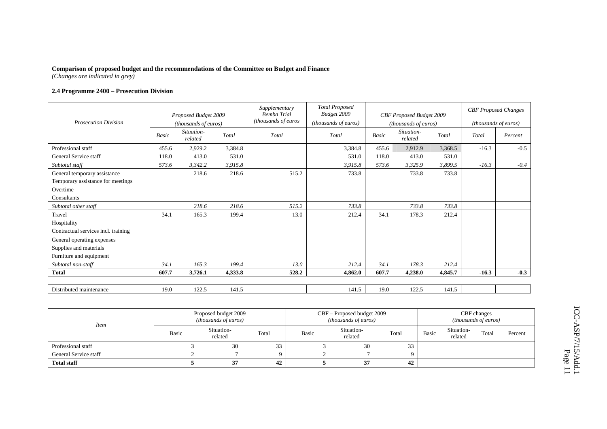#### **2.4 Programme 2400 – Prosecution Division**

| <b>Prosecution Division</b>         |       | Proposed Budget 2009<br>(thousands of euros) |         | Supplementary<br><b>Bemba Trial</b><br>(thousands of euros | <b>Total Proposed</b><br>Budget 2009<br>(thousands of euros) |       | CBF Proposed Budget 2009<br>(thousands of euros) |         |         | <b>CBF</b> Proposed Changes<br>(thousands of euros) |
|-------------------------------------|-------|----------------------------------------------|---------|------------------------------------------------------------|--------------------------------------------------------------|-------|--------------------------------------------------|---------|---------|-----------------------------------------------------|
|                                     | Basic | Situation-<br>related                        | Total   | Total                                                      | Total                                                        | Basic | Situation-<br>related                            | Total   | Total   | Percent                                             |
| Professional staff                  | 455.6 | 2,929.2                                      | 3,384.8 |                                                            | 3,384.8                                                      | 455.6 | 2,912.9                                          | 3,368.5 | $-16.3$ | $-0.5$                                              |
| General Service staff               | 118.0 | 413.0                                        | 531.0   |                                                            | 531.0                                                        | 118.0 | 413.0                                            | 531.0   |         |                                                     |
| Subtotal staff                      | 573.6 | 3,342.2                                      | 3,915.8 |                                                            | 3,915.8                                                      | 573.6 | 3,325.9                                          | 3,899.5 | $-16.3$ | $-0.4$                                              |
| General temporary assistance        |       | 218.6                                        | 218.6   | 515.2                                                      | 733.8                                                        |       | 733.8                                            | 733.8   |         |                                                     |
| Temporary assistance for meetings   |       |                                              |         |                                                            |                                                              |       |                                                  |         |         |                                                     |
| Overtime                            |       |                                              |         |                                                            |                                                              |       |                                                  |         |         |                                                     |
| Consultants                         |       |                                              |         |                                                            |                                                              |       |                                                  |         |         |                                                     |
| Subtotal other staff                |       | 218.6                                        | 218.6   | 515.2                                                      | 733.8                                                        |       | 733.8                                            | 733.8   |         |                                                     |
| Travel                              | 34.1  | 165.3                                        | 199.4   | 13.0                                                       | 212.4                                                        | 34.1  | 178.3                                            | 212.4   |         |                                                     |
| Hospitality                         |       |                                              |         |                                                            |                                                              |       |                                                  |         |         |                                                     |
| Contractual services incl. training |       |                                              |         |                                                            |                                                              |       |                                                  |         |         |                                                     |
| General operating expenses          |       |                                              |         |                                                            |                                                              |       |                                                  |         |         |                                                     |
| Supplies and materials              |       |                                              |         |                                                            |                                                              |       |                                                  |         |         |                                                     |
| Furniture and equipment             |       |                                              |         |                                                            |                                                              |       |                                                  |         |         |                                                     |
| Subtotal non-staff                  | 34.1  | 165.3                                        | 199.4   | 13.0                                                       | 212.4                                                        | 34.1  | 178.3                                            | 212.4   |         |                                                     |
| Total                               | 607.7 | 3,726.1                                      | 4,333.8 | 528.2                                                      | 4,862.0                                                      | 607.7 | 4,238.0                                          | 4,845.7 | $-16.3$ | $-0.3$                                              |
|                                     |       |                                              |         |                                                            |                                                              |       |                                                  |         |         |                                                     |
| Distributed maintenance             | 19.0  | 122.5                                        | 141.5   |                                                            | 141.5                                                        | 19.0  | 122.5                                            | 141.5   |         |                                                     |

| Item                  |       | Proposed budget 2009<br><i>(thousands of euros)</i> |       |              | CBF - Proposed budget 2009<br>( <i>thousands of euros</i> ) |          |              | CBF changes<br><i>(thousands of euros)</i> |       |         |  |
|-----------------------|-------|-----------------------------------------------------|-------|--------------|-------------------------------------------------------------|----------|--------------|--------------------------------------------|-------|---------|--|
|                       | Basic | Situation-<br>related                               | Total | <b>Basic</b> | Situation-<br>related                                       | Total    | <b>Basic</b> | Situation-<br>related                      | Total | Percent |  |
| Professional staff    |       | 30                                                  | 33    |              | 30                                                          | 33       |              |                                            |       |         |  |
| General Service staff |       |                                                     |       |              |                                                             | $\Omega$ |              |                                            |       |         |  |
| <b>Total staff</b>    |       | 37                                                  | 42    |              | 37                                                          | 42       |              |                                            |       |         |  |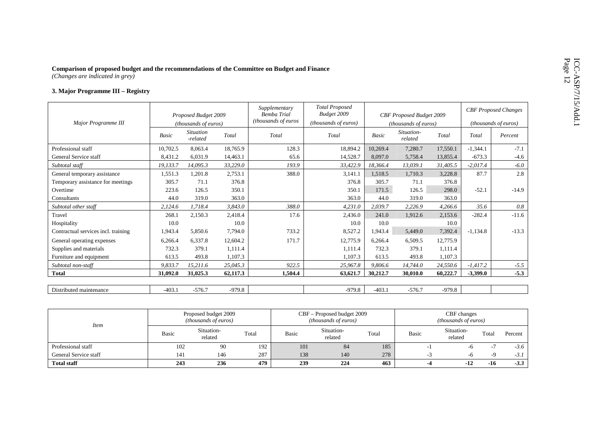# Comparison of proposed budget and the recommendations of the Committee on Budget and Finance<br>
(Changes are indicated in grey)<br>
3. Major Programme III – Registry

|                                     |              | Proposed Budget 2009         |          | Supplementary<br><b>Bemba Trial</b> | <b>Total Proposed</b><br>Budget 2009 |          | CBF Proposed Budget 2009      |          |            | <b>CBF</b> Proposed Changes |
|-------------------------------------|--------------|------------------------------|----------|-------------------------------------|--------------------------------------|----------|-------------------------------|----------|------------|-----------------------------|
| Major Programme III                 |              | <i>(thousands of euros)</i>  |          | (thousands of euros                 | (thousands of euros)                 |          | ( <i>thousands of euros</i> ) |          |            | <i>(thousands of euros)</i> |
|                                     | <b>Basic</b> | <b>Situation</b><br>-related | Total    | Total                               | Total                                | Basic    | Situation-<br>related         | Total    | Total      | Percent                     |
| Professional staff                  | 10,702.5     | 8,063.4                      | 18,765.9 | 128.3                               | 18,894.2                             | 10,269.4 | 7,280.7                       | 17,550.1 | $-1,344.1$ | $-7.1$                      |
| General Service staff               | 8,431.2      | 6,031.9                      | 14,463.1 | 65.6                                | 14,528.7                             | 8,097.0  | 5,758.4                       | 13,855.4 | $-673.3$   | $-4.6$                      |
| Subtotal staff                      | 19,133.7     | 14,095.3                     | 33,229.0 | 193.9                               | 33,422.9                             | 18,366.4 | 13,039.1                      | 31,405.5 | $-2,017.4$ | $-6.0$                      |
| General temporary assistance        | 1,551.3      | 1,201.8                      | 2,753.1  | 388.0                               | 3,141.1                              | 1,518.5  | 1,710.3                       | 3,228.8  | 87.7       | 2.8                         |
| Temporary assistance for meetings   | 305.7        | 71.1                         | 376.8    |                                     | 376.8                                | 305.7    | 71.1                          | 376.8    |            |                             |
| Overtime                            | 223.6        | 126.5                        | 350.1    |                                     | 350.1                                | 171.5    | 126.5                         | 298.0    | $-52.1$    | $-14.9$                     |
| Consultants                         | 44.0         | 319.0                        | 363.0    |                                     | 363.0                                | 44.0     | 319.0                         | 363.0    |            |                             |
| Subtotal other staff                | 2,124.6      | 1,718.4                      | 3,843.0  | 388.0                               | 4,231.0                              | 2,039.7  | 2,226.9                       | 4,266.6  | 35.6       | 0.8                         |
| Travel                              | 268.1        | 2,150.3                      | 2,418.4  | 17.6                                | 2,436.0                              | 241.0    | 1,912.6                       | 2,153.6  | $-282.4$   | $-11.6$                     |
| Hospitality                         | 10.0         |                              | 10.0     |                                     | 10.0                                 | 10.0     |                               | 10.0     |            |                             |
| Contractual services incl. training | 1,943.4      | 5,850.6                      | 7,794.0  | 733.2                               | 8,527.2                              | 1,943.4  | 5,449.0                       | 7,392.4  | $-1,134.8$ | $-13.3$                     |
| General operating expenses          | 6,266.4      | 6,337.8                      | 12,604.2 | 171.7                               | 12,775.9                             | 6,266.4  | 6,509.5                       | 12,775.9 |            |                             |
| Supplies and materials              | 732.3        | 379.1                        | 1,111.4  |                                     | 1,111.4                              | 732.3    | 379.1                         | 1,111.4  |            |                             |
| Furniture and equipment             | 613.5        | 493.8                        | 1,107.3  |                                     | 1,107.3                              | 613.5    | 493.8                         | 1,107.3  |            |                             |
| Subtotal non-staff                  | 9,833.7      | 15,211.6                     | 25,045.3 | 922.5                               | 25,967.8                             | 9,806.6  | 14,744.0                      | 24,550.6 | $-1,417.2$ | $-5.5$                      |
| <b>Total</b>                        | 31,092.0     | 31,025.3                     | 62,117.3 | 1,504.4                             | 63,621.7                             | 30,212.7 | 30,010.0                      | 60,222.7 | $-3,399.0$ | $-5.3$                      |
|                                     |              |                              |          |                                     |                                      |          |                               |          |            |                             |
| Distributed maintenance             | $-403.1$     | $-576.7$                     | $-979.8$ |                                     | $-979.8$                             | $-403.1$ | $-576.7$                      | $-979.8$ |            |                             |

| <i>Item</i>           |       | Proposed budget 2009<br><i>(thousands of euros)</i> |       |       | CBF – Proposed budget 2009<br>(thousands of euros) |       |       | CBF changes<br><i>(thousands of euros)</i> |       |         |
|-----------------------|-------|-----------------------------------------------------|-------|-------|----------------------------------------------------|-------|-------|--------------------------------------------|-------|---------|
|                       | Basic | Situation-<br>related                               | Total | Basic | Situation-<br>related                              | Total | Basic | Situation-<br>related                      | Total | Percent |
| Professional staff    | 102   | 90                                                  | 192   | 101   | 84                                                 | 185   |       |                                            |       | $-3.6$  |
| General Service staff | 141   | 146                                                 | 287   | 138   | 140                                                | 278   |       | -n                                         |       | $-3.1$  |
| <b>Total staff</b>    | 243   | 236                                                 | 479   | 239   | 224                                                | 463   |       |                                            | -16   | $-3.3$  |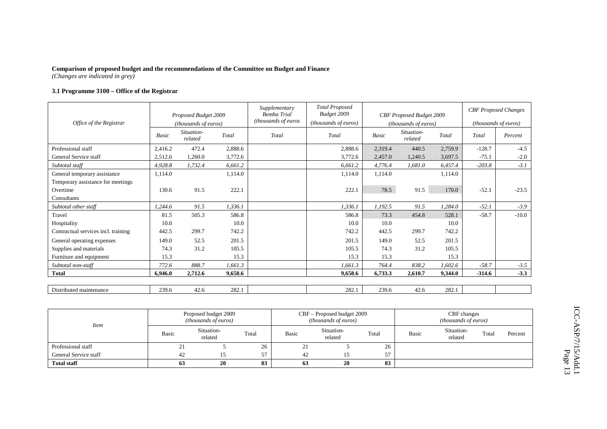#### **3.1 Programme 3100 – Office of the Registrar**

| Office of the Registrar             |              | Proposed Budget 2009<br>(thousands of euros) |         | Supplementary<br><b>Bemba Trial</b><br>(thousands of euros | <b>Total Proposed</b><br>Budget 2009<br>(thousands of euros) |              | CBF Proposed Budget 2009<br><i>(thousands of euros)</i> |         |          | <b>CBF</b> Proposed Changes<br>(thousands of euros) |
|-------------------------------------|--------------|----------------------------------------------|---------|------------------------------------------------------------|--------------------------------------------------------------|--------------|---------------------------------------------------------|---------|----------|-----------------------------------------------------|
|                                     | <b>Basic</b> | Situation-<br>related                        | Total   | Total                                                      | Total                                                        | <b>Basic</b> | Situation-<br>related                                   | Total   | Total    | Percent                                             |
| Professional staff                  | 2,416.2      | 472.4                                        | 2,888.6 |                                                            | 2,888.6                                                      | 2,319.4      | 440.5                                                   | 2,759.9 | $-128.7$ | $-4.5$                                              |
| General Service staff               | 2,512.6      | 1,260.0                                      | 3,772.6 |                                                            | 3,772.6                                                      | 2,457.0      | 1,240.5                                                 | 3,697.5 | $-75.1$  | $-2.0$                                              |
| Subtotal staff                      | 4,928.8      | 1,732.4                                      | 6,661.2 |                                                            | 6,661.2                                                      | 4,776.4      | 1,681.0                                                 | 6,457.4 | $-203.8$ | $-3.1$                                              |
| General temporary assistance        | 1,114.0      |                                              | 1,114.0 |                                                            | 1,114.0                                                      | 1,114.0      |                                                         | 1,114.0 |          |                                                     |
| Temporary assistance for meetings   |              |                                              |         |                                                            |                                                              |              |                                                         |         |          |                                                     |
| Overtime                            | 130.6        | 91.5                                         | 222.1   |                                                            | 222.1                                                        | 78.5         | 91.5                                                    | 170.0   | $-52.1$  | $-23.5$                                             |
| Consultants                         |              |                                              |         |                                                            |                                                              |              |                                                         |         |          |                                                     |
| Subtotal other staff                | 1,244.6      | 91.5                                         | 1,336.1 |                                                            | 1,336.1                                                      | 1,192.5      | 91.5                                                    | 1,284.0 | $-52.1$  | $-3.9$                                              |
| Travel                              | 81.5         | 505.3                                        | 586.8   |                                                            | 586.8                                                        | 73.3         | 454.8                                                   | 528.1   | $-58.7$  | $-10.0$                                             |
| Hospitality                         | 10.0         |                                              | 10.0    |                                                            | 10.0                                                         | 10.0         |                                                         | 10.0    |          |                                                     |
| Contractual services incl. training | 442.5        | 299.7                                        | 742.2   |                                                            | 742.2                                                        | 442.5        | 299.7                                                   | 742.2   |          |                                                     |
| General operating expenses          | 149.0        | 52.5                                         | 201.5   |                                                            | 201.5                                                        | 149.0        | 52.5                                                    | 201.5   |          |                                                     |
| Supplies and materials              | 74.3         | 31.2                                         | 105.5   |                                                            | 105.5                                                        | 74.3         | 31.2                                                    | 105.5   |          |                                                     |
| Furniture and equipment             | 15.3         |                                              | 15.3    |                                                            | 15.3                                                         | 15.3         |                                                         | 15.3    |          |                                                     |
| Subtotal non-staff                  | 772.6        | 888.7                                        | 1,661.3 |                                                            | 1,661.3                                                      | 764.4        | 838.2                                                   | 1,602.6 | $-58.7$  | $-3.5$                                              |
| <b>Total</b>                        | 6.946.0      | 2,712.6                                      | 9,658.6 |                                                            | 9,658.6                                                      | 6,733.3      | 2,610.7                                                 | 9.344.0 | $-314.6$ | $-3.3$                                              |
|                                     |              |                                              |         |                                                            |                                                              |              |                                                         |         |          |                                                     |
| Distributed maintenance             | 239.6        | 42.6                                         | 282.1   |                                                            | 282.1                                                        | 239.6        | 42.6                                                    | 282.1   |          |                                                     |

| <i>Item</i>           |              | Proposed budget 2009<br><i>(thousands of euros)</i> |       |       | CBF – Proposed budget 2009<br>( <i>thousands of euros</i> ) |       | CBF changes<br><i>(thousands of euros)</i> |                       |       |         |  |
|-----------------------|--------------|-----------------------------------------------------|-------|-------|-------------------------------------------------------------|-------|--------------------------------------------|-----------------------|-------|---------|--|
|                       | <b>Basic</b> | Situation-<br>related                               | Total | Basic | Situation-<br>related                                       | Total | Basic                                      | Situation-<br>related | Total | Percent |  |
| Professional staff    | 21           |                                                     | 26    | ∸     |                                                             | 26    |                                            |                       |       |         |  |
| General Service staff | 42           |                                                     | 57    | 42    | 15                                                          | 57    |                                            |                       |       |         |  |
| <b>Total staff</b>    | 63           | 20                                                  | 83    | 63    | 20                                                          | 83    |                                            |                       |       |         |  |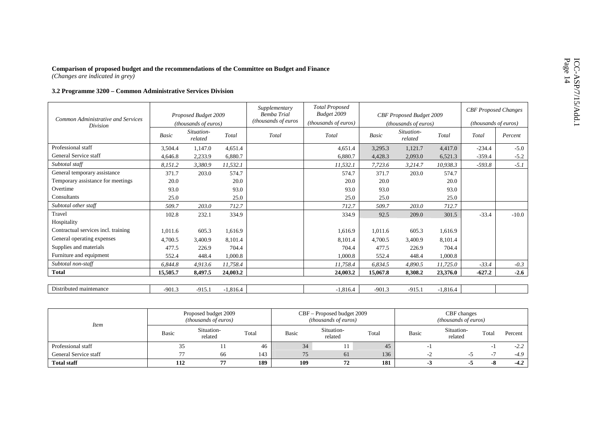# Comparison of proposed budget and the recommendations of the Committee on Budget and Finance<br>
(Changes are indicated in grey)<br>
3.2 Programme 3200 – Common Administrative Services Division

|                                                              |          | Proposed Budget 2009        |            | Supplementary<br><b>Bemba Trial</b> | <b>Total Proposed</b><br>Budget 2009 |          | CBF Proposed Budget 2009    |            | <b>CBF</b> Proposed Changes   |         |
|--------------------------------------------------------------|----------|-----------------------------|------------|-------------------------------------|--------------------------------------|----------|-----------------------------|------------|-------------------------------|---------|
| <b>Common Administrative and Services</b><br><i>Division</i> |          | <i>(thousands of euros)</i> |            | (thousands of euros                 | (thousands of euros)                 |          | <i>(thousands of euros)</i> |            | ( <i>thousands of euros</i> ) |         |
|                                                              | Basic    | Situation-<br>related       | Total      | Total                               | Total                                | Basic    | Situation-<br>related       | Total      | Total                         | Percent |
| Professional staff                                           | 3,504.4  | 1,147.0                     | 4,651.4    |                                     | 4,651.4                              | 3,295.3  | 1,121.7                     | 4,417.0    | $-234.4$                      | $-5.0$  |
| General Service staff                                        | 4,646.8  | 2,233.9                     | 6,880.7    |                                     | 6,880.7                              | 4,428.3  | 2,093.0                     | 6,521.3    | $-359.4$                      | $-5.2$  |
| Subtotal staff                                               | 8,151.2  | 3,380.9                     | 11,532.1   |                                     | 11,532.1                             | 7,723.6  | 3,214.7                     | 10,938.3   | $-593.8$                      | $-5.1$  |
| General temporary assistance                                 | 371.7    | 203.0                       | 574.7      |                                     | 574.7                                | 371.7    | 203.0                       | 574.7      |                               |         |
| Temporary assistance for meetings                            | 20.0     |                             | 20.0       |                                     | 20.0                                 | 20.0     |                             | 20.0       |                               |         |
| Overtime                                                     | 93.0     |                             | 93.0       |                                     | 93.0                                 | 93.0     |                             | 93.0       |                               |         |
| Consultants                                                  | 25.0     |                             | 25.0       |                                     | 25.0                                 | 25.0     |                             | 25.0       |                               |         |
| Subtotal other staff                                         | 509.7    | 203.0                       | 712.7      |                                     | 712.7                                | 509.7    | 203.0                       | 712.7      |                               |         |
| Travel                                                       | 102.8    | 232.1                       | 334.9      |                                     | 334.9                                | 92.5     | 209.0                       | 301.5      | $-33.4$                       | $-10.0$ |
| Hospitality                                                  |          |                             |            |                                     |                                      |          |                             |            |                               |         |
| Contractual services incl. training                          | 1,011.6  | 605.3                       | 1,616.9    |                                     | 1,616.9                              | 1,011.6  | 605.3                       | 1,616.9    |                               |         |
| General operating expenses                                   | 4,700.5  | 3,400.9                     | 8,101.4    |                                     | 8,101.4                              | 4,700.5  | 3,400.9                     | 8,101.4    |                               |         |
| Supplies and materials                                       | 477.5    | 226.9                       | 704.4      |                                     | 704.4                                | 477.5    | 226.9                       | 704.4      |                               |         |
| Furniture and equipment                                      | 552.4    | 448.4                       | 1,000.8    |                                     | 1,000.8                              | 552.4    | 448.4                       | 1,000.8    |                               |         |
| Subtotal non-staff                                           | 6,844.8  | 4,913.6                     | 11,758.4   |                                     | 11,758.4                             | 6,834.5  | 4,890.5                     | 11,725.0   | $-33.4$                       | $-0.3$  |
| <b>Total</b>                                                 | 15,505.7 | 8,497.5                     | 24,003.2   |                                     | 24,003.2                             | 15,067.8 | 8,308.2                     | 23,376.0   | $-627.2$                      | $-2.6$  |
|                                                              |          |                             |            |                                     |                                      |          |                             |            |                               |         |
| Distributed maintenance                                      | $-901.3$ | $-915.1$                    | $-1,816.4$ |                                     | $-1,816.4$                           | $-901.3$ | $-915.1$                    | $-1,816.4$ |                               |         |

| <b>Item</b>           |              | Proposed budget 2009<br><i>(thousands of euros)</i> |       |       | CBF – Proposed budget 2009<br><i>(thousands of euros)</i> |       | CBF changes<br><i>(thousands of euros)</i> |                       |       |         |  |
|-----------------------|--------------|-----------------------------------------------------|-------|-------|-----------------------------------------------------------|-------|--------------------------------------------|-----------------------|-------|---------|--|
|                       | <b>Basic</b> | Situation-<br>related                               | Total | Basic | Situation-<br>related                                     | Total | <b>Basic</b>                               | Situation-<br>related | Total | Percent |  |
| Professional staff    | ر ر          |                                                     | 46    | 34    |                                                           | 45    |                                            |                       |       | $-2.2$  |  |
| General Service staff | 77           | 66                                                  | 143   | 75    | 61                                                        | 136   |                                            |                       | -     | $-4.9$  |  |
| <b>Total staff</b>    | 112          | 77                                                  | 189   | 109   | 72                                                        | 181   |                                            |                       |       | $-4.2$  |  |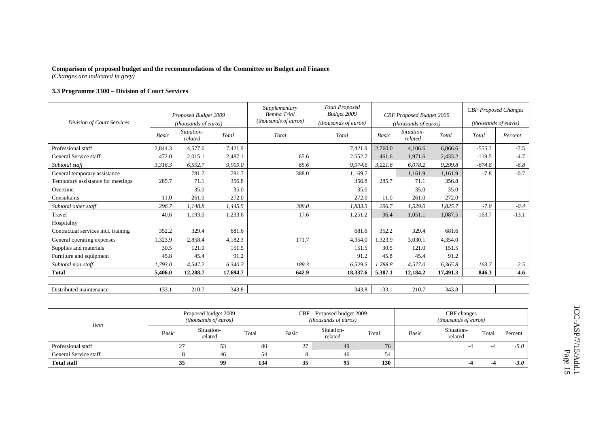#### **3.3 Programme 3300 – Division of Court Services**

|                                     |              | Proposed Budget 2009  |          | Supplementary<br>Bemba Trial | <b>Total Proposed</b><br>Budget 2009 |              | CBF Proposed Budget 2009    |          | <b>CBF</b> Proposed Changes |         |
|-------------------------------------|--------------|-----------------------|----------|------------------------------|--------------------------------------|--------------|-----------------------------|----------|-----------------------------|---------|
| Division of Court Services          |              | (thousands of euros)  |          | (thousands of euros)         | (thousands of euros)                 |              | <i>(thousands of euros)</i> |          | <i>(thousands of euros)</i> |         |
|                                     | <b>Basic</b> | Situation-<br>related | Total    | Total                        | Total                                | <b>Basic</b> | Situation-<br>related       | Total    | Total                       | Percent |
| Professional staff                  | 2,844.3      | 4,577.6               | 7,421.9  |                              | 7,421.9                              | 2,760.0      | 4,106.6                     | 6.866.6  | $-555.3$                    | $-7.5$  |
| General Service staff               | 472.0        | 2,015.1               | 2,487.1  | 65.6                         | 2,552.7                              | 461.6        | 1.971.6                     | 2,433.2  | $-119.5$                    | $-4.7$  |
| Subtotal staff                      | 3.316.3      | 6,592.7               | 9,909.0  | 65.6                         | 9,974.6                              | 3,221.6      | 6,078.2                     | 9,299.8  | $-674.8$                    | $-6.8$  |
| General temporary assistance        |              | 781.7                 | 781.7    | 388.0                        | 1,169.7                              |              | 1,161.9                     | 1,161.9  | $-7.8$                      | $-0.7$  |
| Temporary assistance for meetings   | 285.7        | 71.1                  | 356.8    |                              | 356.8                                | 285.7        | 71.1                        | 356.8    |                             |         |
| Overtime                            |              | 35.0                  | 35.0     |                              | 35.0                                 |              | 35.0                        | 35.0     |                             |         |
| Consultants                         | 11.0         | 261.0                 | 272.0    |                              | 272.0                                | 11.0         | 261.0                       | 272.0    |                             |         |
| Subtotal other staff                | 296.7        | 1,148.8               | 1,445.5  | 388.0                        | 1,833.5                              | 296.7        | 1,529.0                     | 1,825.7  | $-7.8$                      | $-0.4$  |
| Travel                              | 40.6         | 1,193.0               | 1,233.6  | 17.6                         | 1,251.2                              | 36.4         | 1,051.1                     | 1,087.5  | $-163.7$                    | $-13.1$ |
| Hospitality                         |              |                       |          |                              |                                      |              |                             |          |                             |         |
| Contractual services incl. training | 352.2        | 329.4                 | 681.6    |                              | 681.6                                | 352.2        | 329.4                       | 681.6    |                             |         |
| General operating expenses          | 1,323.9      | 2,858.4               | 4,182.3  | 171.7                        | 4,354.0                              | 1,323.9      | 3.030.1                     | 4,354.0  |                             |         |
| Supplies and materials              | 30.5         | 121.0                 | 151.5    |                              | 151.5                                | 30.5         | 121.0                       | 151.5    |                             |         |
| Furniture and equipment             | 45.8         | 45.4                  | 91.2     |                              | 91.2                                 | 45.8         | 45.4                        | 91.2     |                             |         |
| Subtotal non-staff                  | 1,793.0      | 4,547.2               | 6,340.2  | 189.3                        | 6,529.5                              | 1,788.8      | 4,577.0                     | 6,365.8  | $-163.7$                    | $-2.5$  |
| <b>Total</b>                        | 5,406.0      | 12,288.7              | 17,694.7 | 642.9                        | 18,337.6                             | 5,307.1      | 12,184.2                    | 17,491.3 | $-846.3$                    | $-4.6$  |
|                                     |              |                       |          |                              |                                      |              |                             |          |                             |         |
| Distributed maintenance             | 133.1        | 210.7                 | 343.8    |                              | 343.8                                | 133.1        | 210.7                       | 343.8    |                             |         |

| <i>Item</i>           |                      | Proposed budget 2009<br><i>(thousands of euros)</i> |       |              | CBF – Proposed budget 2009<br>(thousands of euros) |       | CBF changes<br>( <i>thousands of euros</i> ) |                       |       |         |  |
|-----------------------|----------------------|-----------------------------------------------------|-------|--------------|----------------------------------------------------|-------|----------------------------------------------|-----------------------|-------|---------|--|
|                       | Basic                | Situation-<br>related                               | Total | <b>Basic</b> | Situation-<br>related                              | Total | <b>Basic</b>                                 | Situation-<br>related | Total | Percent |  |
| Professional staff    | $\mathcal{L}$<br>، ب | 53                                                  | 80    | 27           | 49                                                 | 76    |                                              |                       |       | $-5.0$  |  |
| General Service staff |                      | 46                                                  | 54    |              | 46                                                 | 54    |                                              |                       |       |         |  |
| <b>Total staff</b>    | 35                   | 99                                                  | 134   | 35           | 95                                                 | 130   |                                              |                       |       | $-3.0$  |  |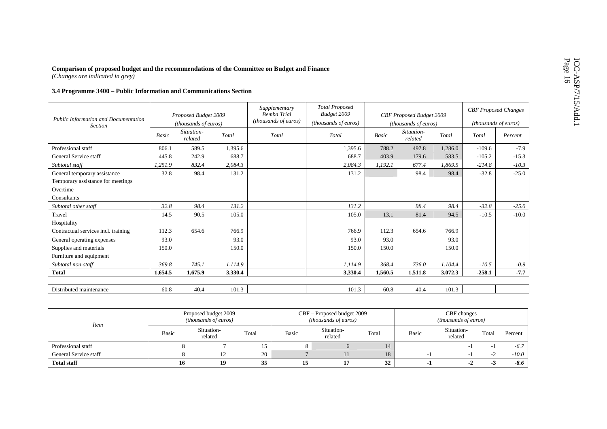# Comparison of proposed budget and the recommendations of the Committee on Budget and Finance<br>  $(Changes are indicated in grey)$ <br>
3.4 Programme 3400 – Public Information and Communications Section

| Public Information and Documentation |         | Proposed Budget 2009  |         | Supplementary<br><b>Bemba Trial</b> | <b>Total Proposed</b><br>Budget 2009 |              | CBF Proposed Budget 2009 |         |          | <b>CBF</b> Proposed Changes |
|--------------------------------------|---------|-----------------------|---------|-------------------------------------|--------------------------------------|--------------|--------------------------|---------|----------|-----------------------------|
| <b>Section</b>                       |         | (thousands of euros)  |         | (thousands of euros)                | ( <i>thousands of euros</i> )        |              | (thousands of euros)     |         |          | <i>(thousands of euros)</i> |
|                                      | Basic   | Situation-<br>related | Total   | Total                               | Total                                | <b>Basic</b> | Situation-<br>related    | Total   | Total    | Percent                     |
| Professional staff                   | 806.1   | 589.5                 | 1,395.6 |                                     | 1,395.6                              | 788.2        | 497.8                    | 1,286.0 | $-109.6$ | $-7.9$                      |
| General Service staff                | 445.8   | 242.9                 | 688.7   |                                     | 688.7                                | 403.9        | 179.6                    | 583.5   | $-105.2$ | $-15.3$                     |
| Subtotal staff                       | 1,251.9 | 832.4                 | 2,084.3 |                                     | 2,084.3                              | 1,192.1      | 677.4                    | 1,869.5 | $-214.8$ | $-10.3$                     |
| General temporary assistance         | 32.8    | 98.4                  | 131.2   |                                     | 131.2                                |              | 98.4                     | 98.4    | $-32.8$  | $-25.0$                     |
| Temporary assistance for meetings    |         |                       |         |                                     |                                      |              |                          |         |          |                             |
| Overtime                             |         |                       |         |                                     |                                      |              |                          |         |          |                             |
| Consultants                          |         |                       |         |                                     |                                      |              |                          |         |          |                             |
| Subtotal other staff                 | 32.8    | 98.4                  | 131.2   |                                     | 131.2                                |              | 98.4                     | 98.4    | $-32.8$  | $-25.0$                     |
| Travel                               | 14.5    | 90.5                  | 105.0   |                                     | 105.0                                | 13.1         | 81.4                     | 94.5    | $-10.5$  | $-10.0$                     |
| Hospitality                          |         |                       |         |                                     |                                      |              |                          |         |          |                             |
| Contractual services incl. training  | 112.3   | 654.6                 | 766.9   |                                     | 766.9                                | 112.3        | 654.6                    | 766.9   |          |                             |
| General operating expenses           | 93.0    |                       | 93.0    |                                     | 93.0                                 | 93.0         |                          | 93.0    |          |                             |
| Supplies and materials               | 150.0   |                       | 150.0   |                                     | 150.0                                | 150.0        |                          | 150.0   |          |                             |
| Furniture and equipment              |         |                       |         |                                     |                                      |              |                          |         |          |                             |
| Subtotal non-staff                   | 369.8   | 745.1                 | 1,114.9 |                                     | 1,114.9                              | 368.4        | 736.0                    | 1,104.4 | $-10.5$  | $-0.9$                      |
| <b>Total</b>                         | 1,654.5 | 1,675.9               | 3,330.4 |                                     | 3,330.4                              | 1,560.5      | 1,511.8                  | 3,072.3 | $-258.1$ | $-7.7$                      |
|                                      |         |                       |         |                                     |                                      |              |                          |         |          |                             |
| Distributed maintenance              | 60.8    | 40.4                  | 101.3   |                                     | 101.3                                | 60.8         | 40.4                     | 101.3   |          |                             |

| <i>Item</i>           |              | Proposed budget 2009<br><i>(thousands of euros)</i> |       |       | CBF – Proposed budget 2009<br>(thousands of euros) |       | CBF changes<br><i>(thousands of euros)</i> |                       |       |         |  |
|-----------------------|--------------|-----------------------------------------------------|-------|-------|----------------------------------------------------|-------|--------------------------------------------|-----------------------|-------|---------|--|
|                       | <b>Basic</b> | Situation-<br>related                               | Total | Basic | Situation-<br>related                              | Total | <b>Basic</b>                               | Situation-<br>related | Total | Percent |  |
| Professional staff    |              |                                                     |       | Ω     |                                                    | 14    |                                            |                       |       | $-6.7$  |  |
| General Service staff |              | 12                                                  | 20    |       |                                                    | 18    |                                            |                       |       | $-10.0$ |  |
| <b>Total staff</b>    | 10           | 19                                                  | 35    | 15    |                                                    | 32    |                                            |                       |       | $-8.6$  |  |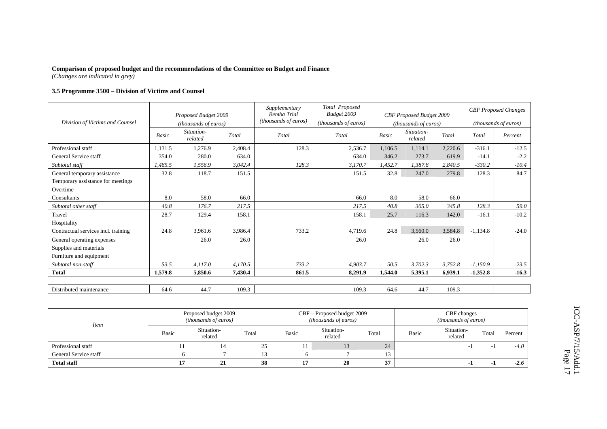#### **3.5 Programme 3500 – Division of Victims and Counsel**

|                                     |         | Proposed Budget 2009  |         | Supplementary<br><b>Bemba Trial</b><br>(thousands of euros) | Total Proposed<br>Budget 2009 |         | CBF Proposed Budget 2009 |         |            | <b>CBF</b> Proposed Changes |
|-------------------------------------|---------|-----------------------|---------|-------------------------------------------------------------|-------------------------------|---------|--------------------------|---------|------------|-----------------------------|
| Division of Victims and Counsel     |         | (thousands of euros)  |         |                                                             | (thousands of euros)          |         | (thousands of euros)     |         |            | <i>(thousands of euros)</i> |
|                                     | Basic   | Situation-<br>related | Total   | Total                                                       | Total                         | Basic   | Situation-<br>related    | Total   | Total      | Percent                     |
| Professional staff                  | 1,131.5 | 1,276.9               | 2,408.4 | 128.3                                                       | 2,536.7                       | 1,106.5 | 1.114.1                  | 2,220.6 | $-316.1$   | $-12.5$                     |
| General Service staff               | 354.0   | 280.0                 | 634.0   |                                                             | 634.0                         | 346.2   | 273.7                    | 619.9   | $-14.1$    | $-2.2$                      |
| Subtotal staff                      | 1,485.5 | 1,556.9               | 3,042.4 | 128.3                                                       | 3,170.7                       | 1,452.7 | 1,387.8                  | 2,840.5 | $-330.2$   | $-10.4$                     |
| General temporary assistance        | 32.8    | 118.7                 | 151.5   |                                                             | 151.5                         | 32.8    | 247.0                    | 279.8   | 128.3      | 84.7                        |
| Temporary assistance for meetings   |         |                       |         |                                                             |                               |         |                          |         |            |                             |
| Overtime                            |         |                       |         |                                                             |                               |         |                          |         |            |                             |
| Consultants                         | 8.0     | 58.0                  | 66.0    |                                                             | 66.0                          | 8.0     | 58.0                     | 66.0    |            |                             |
| Subtotal other staff                | 40.8    | 176.7                 | 217.5   |                                                             | 217.5                         | 40.8    | 305.0                    | 345.8   | 128.3      | 59.0                        |
| Travel                              | 28.7    | 129.4                 | 158.1   |                                                             | 158.1                         | 25.7    | 116.3                    | 142.0   | $-16.1$    | $-10.2$                     |
| Hospitality                         |         |                       |         |                                                             |                               |         |                          |         |            |                             |
| Contractual services incl. training | 24.8    | 3,961.6               | 3,986.4 | 733.2                                                       | 4,719.6                       | 24.8    | 3,560.0                  | 3,584.8 | $-1,134.8$ | $-24.0$                     |
| General operating expenses          |         | 26.0                  | 26.0    |                                                             | 26.0                          |         | 26.0                     | 26.0    |            |                             |
| Supplies and materials              |         |                       |         |                                                             |                               |         |                          |         |            |                             |
| Furniture and equipment             |         |                       |         |                                                             |                               |         |                          |         |            |                             |
| Subtotal non-staff                  | 53.5    | 4,117.0               | 4,170.5 | 733.2                                                       | 4,903.7                       | 50.5    | 3,702.3                  | 3,752.8 | $-1,150.9$ | $-23.5$                     |
| <b>Total</b>                        | 1,579.8 | 5,850.6               | 7,430.4 | 861.5                                                       | 8,291.9                       | 1,544.0 | 5,395.1                  | 6,939.1 | $-1,352.8$ | $-16.3$                     |
|                                     |         |                       |         |                                                             |                               |         |                          |         |            |                             |
| Distributed maintenance             | 64.6    | 44.7                  | 109.3   |                                                             | 109.3                         | 64.6    | 44.7                     | 109.3   |            |                             |

| <i>Item</i>           |              | Proposed budget 2009<br><i>(thousands of euros)</i> |       |       | CBF – Proposed budget 2009<br>(thousands of euros) |       | CBF changes<br><i>(thousands of euros)</i> |                       |       |         |  |
|-----------------------|--------------|-----------------------------------------------------|-------|-------|----------------------------------------------------|-------|--------------------------------------------|-----------------------|-------|---------|--|
|                       | <b>Basic</b> | Situation-<br>related                               | Total | Basic | Situation-<br>related                              | Total | <b>Basic</b>                               | Situation-<br>related | Total | Percent |  |
| Professional staff    |              | 14                                                  | 25    | 11    | 13                                                 | 24    |                                            |                       |       | $-4.0$  |  |
| General Service staff |              |                                                     | 13    |       |                                                    |       |                                            |                       |       |         |  |
| <b>Total staff</b>    |              | ◢                                                   | 38    |       | 20                                                 | 37    |                                            |                       |       | $-2.6$  |  |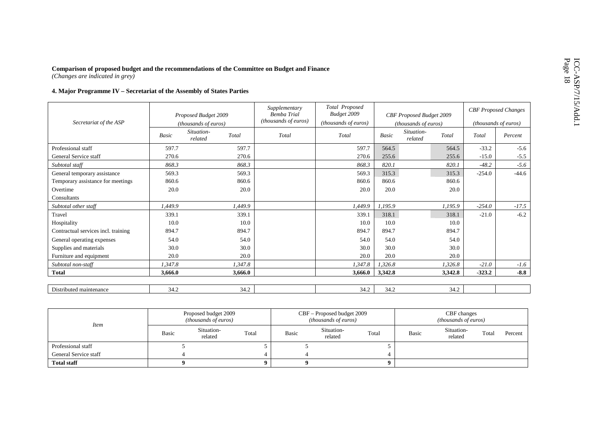# Comparison of proposed budget and the recommendations of the Committee on Budget and Finance<br>
(Changes are indicated in grey)<br> **4. Major Programme IV** – Secretariat of the Assembly of States Parties

|                                     |         | Proposed Budget 2009        |         | Supplementary<br><b>Bemba Trial</b> | Total Proposed<br>Budget 2009 |         | CBF Proposed Budget 2009 |         |          | <b>CBF</b> Proposed Changes |
|-------------------------------------|---------|-----------------------------|---------|-------------------------------------|-------------------------------|---------|--------------------------|---------|----------|-----------------------------|
| Secretariat of the ASP              |         | <i>(thousands of euros)</i> |         | (thousands of euros)                | (thousands of euros)          |         | (thousands of euros)     |         |          | (thousands of euros)        |
|                                     | Basic   | Situation-<br>related       | Total   | Total                               | Total                         | Basic   | Situation-<br>related    | Total   | Total    | Percent                     |
| Professional staff                  | 597.7   |                             | 597.7   |                                     | 597.7                         | 564.5   |                          | 564.5   | $-33.2$  | $-5.6$                      |
| General Service staff               | 270.6   |                             | 270.6   |                                     | 270.6                         | 255.6   |                          | 255.6   | $-15.0$  | $-5.5$                      |
| Subtotal staff                      | 868.3   |                             | 868.3   |                                     | 868.3                         | 820.1   |                          | 820.1   | $-48.2$  | $-5.6$                      |
| General temporary assistance        | 569.3   |                             | 569.3   |                                     | 569.3                         | 315.3   |                          | 315.3   | $-254.0$ | $-44.6$                     |
| Temporary assistance for meetings   | 860.6   |                             | 860.6   |                                     | 860.6                         | 860.6   |                          | 860.6   |          |                             |
| Overtime                            | 20.0    |                             | 20.0    |                                     | 20.0                          | 20.0    |                          | 20.0    |          |                             |
| Consultants                         |         |                             |         |                                     |                               |         |                          |         |          |                             |
| Subtotal other staff                | 1.449.9 |                             | 1.449.9 |                                     | 1,449.9                       | 1.195.9 |                          | 1.195.9 | $-254.0$ | $-17.5$                     |
| Travel                              | 339.1   |                             | 339.1   |                                     | 339.1                         | 318.1   |                          | 318.1   | $-21.0$  | $-6.2$                      |
| Hospitality                         | 10.0    |                             | 10.0    |                                     | 10.0                          | 10.0    |                          | 10.0    |          |                             |
| Contractual services incl. training | 894.7   |                             | 894.7   |                                     | 894.7                         | 894.7   |                          | 894.7   |          |                             |
| General operating expenses          | 54.0    |                             | 54.0    |                                     | 54.0                          | 54.0    |                          | 54.0    |          |                             |
| Supplies and materials              | 30.0    |                             | 30.0    |                                     | 30.0                          | 30.0    |                          | 30.0    |          |                             |
| Furniture and equipment             | 20.0    |                             | 20.0    |                                     | 20.0                          | 20.0    |                          | 20.0    |          |                             |
| Subtotal non-staff                  | 1,347.8 |                             | 1,347.8 |                                     | 1,347.8                       | 1,326.8 |                          | 1,326.8 | $-21.0$  | $-1.6$                      |
| <b>Total</b>                        | 3.666.0 |                             | 3,666.0 |                                     | 3,666.0                       | 3,342.8 |                          | 3,342.8 | $-323.2$ | $-8.8$                      |
|                                     |         |                             |         |                                     |                               |         |                          |         |          |                             |
| Distributed maintenance             | 34.2    |                             | 34.2    |                                     | 34.2                          | 34.2    |                          | 34.2    |          |                             |

| <i>Item</i>           |              | Proposed budget 2009<br><i>(thousands of euros)</i> |       |       | CBF – Proposed budget 2009<br>(thousands of euros) |       | CBF changes<br>(thousands of euros) |                       |       |         |  |
|-----------------------|--------------|-----------------------------------------------------|-------|-------|----------------------------------------------------|-------|-------------------------------------|-----------------------|-------|---------|--|
|                       | <b>Basic</b> | Situation-<br>related                               | Total | Basic | Situation-<br>related                              | Total | Basic                               | Situation-<br>related | Total | Percent |  |
| Professional staff    |              |                                                     |       |       |                                                    |       |                                     |                       |       |         |  |
| General Service staff |              |                                                     |       |       |                                                    |       |                                     |                       |       |         |  |
| <b>Total staff</b>    |              |                                                     |       |       |                                                    |       |                                     |                       |       |         |  |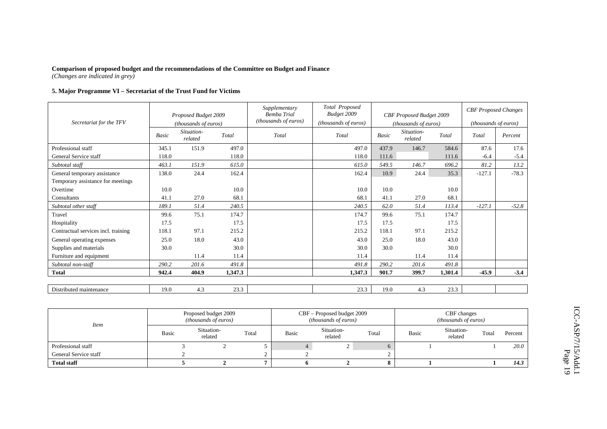#### **5. Major Programme VI – Secretariat of the Trust Fund for Victims**

|                                     |       | Proposed Budget 2009  |         | Supplementary<br><b>Bemba Trial</b><br>(thousands of euros) | Total Proposed<br>Budget 2009 |       | CBF Proposed Budget 2009      |         | <b>CBF</b> Proposed Changes |         |
|-------------------------------------|-------|-----------------------|---------|-------------------------------------------------------------|-------------------------------|-------|-------------------------------|---------|-----------------------------|---------|
| Secretariat for the TFV             |       | (thousands of euros)  |         |                                                             | (thousands of euros)          |       | ( <i>thousands of euros</i> ) |         | (thousands of euros)        |         |
|                                     | Basic | Situation-<br>related | Total   | Total                                                       | Total                         | Basic | Situation-<br>related         | Total   | Total                       | Percent |
| Professional staff                  | 345.1 | 151.9                 | 497.0   |                                                             | 497.0                         | 437.9 | 146.7                         | 584.6   | 87.6                        | 17.6    |
| General Service staff               | 118.0 |                       | 118.0   |                                                             | 118.0                         | 111.6 |                               | 111.6   | $-6.4$                      | $-5.4$  |
| Subtotal staff                      | 463.1 | 151.9                 | 615.0   |                                                             | 615.0                         | 549.5 | 146.7                         | 696.2   | 81.2                        | 13.2    |
| General temporary assistance        | 138.0 | 24.4                  | 162.4   |                                                             | 162.4                         | 10.9  | 24.4                          | 35.3    | $-127.1$                    | $-78.3$ |
| Temporary assistance for meetings   |       |                       |         |                                                             |                               |       |                               |         |                             |         |
| Overtime                            | 10.0  |                       | 10.0    |                                                             | 10.0                          | 10.0  |                               | 10.0    |                             |         |
| Consultants                         | 41.1  | 27.0                  | 68.1    |                                                             | 68.1                          | 41.1  | 27.0                          | 68.1    |                             |         |
| Subtotal other staff                | 189.1 | 51.4                  | 240.5   |                                                             | 240.5                         | 62.0  | 51.4                          | 113.4   | $-127.1$                    | $-52.8$ |
| Travel                              | 99.6  | 75.1                  | 174.7   |                                                             | 174.7                         | 99.6  | 75.1                          | 174.7   |                             |         |
| Hospitality                         | 17.5  |                       | 17.5    |                                                             | 17.5                          | 17.5  |                               | 17.5    |                             |         |
| Contractual services incl. training | 118.1 | 97.1                  | 215.2   |                                                             | 215.2                         | 118.1 | 97.1                          | 215.2   |                             |         |
| General operating expenses          | 25.0  | 18.0                  | 43.0    |                                                             | 43.0                          | 25.0  | 18.0                          | 43.0    |                             |         |
| Supplies and materials              | 30.0  |                       | 30.0    |                                                             | 30.0                          | 30.0  |                               | 30.0    |                             |         |
| Furniture and equipment             |       | 11.4                  | 11.4    |                                                             | 11.4                          |       | 11.4                          | 11.4    |                             |         |
| Subtotal non-staff                  | 290.2 | 201.6                 | 491.8   |                                                             | 491.8                         | 290.2 | 201.6                         | 491.8   |                             |         |
| <b>Total</b>                        | 942.4 | 404.9                 | 1,347.3 |                                                             | 1,347.3                       | 901.7 | 399.7                         | 1,301.4 | $-45.9$                     | $-3.4$  |
|                                     |       |                       |         |                                                             |                               |       |                               |         |                             |         |
| Distributed maintenance             | 19.0  | 4.3                   | 23.3    |                                                             | 23.3                          | 19.0  | 4.3                           | 23.3    |                             |         |

| <i>Item</i>           |              | Proposed budget 2009<br><i>(thousands of euros)</i> |       |              | CBF - Proposed budget 2009<br><i>(thousands of euros)</i> |       | CBF changes<br><i>(thousands of euros)</i> |                       |       |         |  |
|-----------------------|--------------|-----------------------------------------------------|-------|--------------|-----------------------------------------------------------|-------|--------------------------------------------|-----------------------|-------|---------|--|
|                       | <b>Basic</b> | Situation-<br>related                               | Total | <b>Basic</b> | Situation-<br>related                                     | Total | <b>Basic</b>                               | Situation-<br>related | Total | Percent |  |
| Professional staff    |              |                                                     |       |              |                                                           |       |                                            |                       |       | 20.0    |  |
| General Service staff |              |                                                     |       |              |                                                           |       |                                            |                       |       |         |  |
| <b>Total staff</b>    |              |                                                     |       |              |                                                           |       |                                            |                       |       | 14.3    |  |